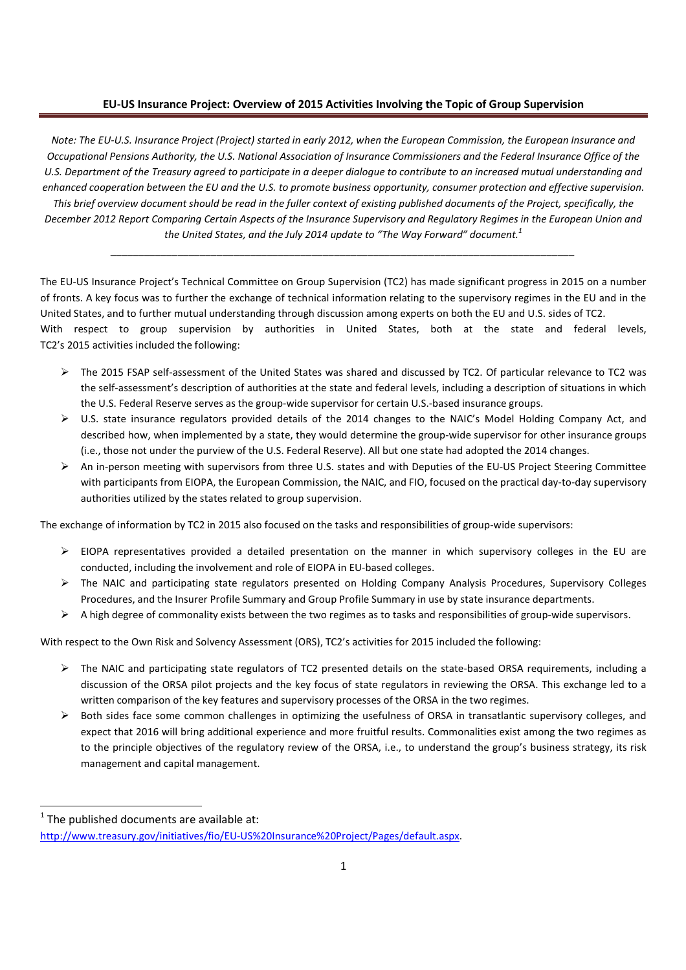## **EU-US Insurance Project: Overview of 2015 Activities Involving the Topic of Group Supervision**

*Note: The EU-U.S. Insurance Project (Project) started in early 2012, when the European Commission, the European Insurance and Occupational Pensions Authority, the U.S. National Association of Insurance Commissioners and the Federal Insurance Office of the U.S. Department of the Treasury agreed to participate in a deeper dialogue to contribute to an increased mutual understanding and enhanced cooperation between the EU and the U.S. to promote business opportunity, consumer protection and effective supervision. This brief overview document should be read in the fuller context of existing published documents of the Project, specifically, the December 2012 Report Comparing Certain Aspects of the Insurance Supervisory and Regulatory Regimes in the European Union and the United States, and the July 2014 update to "The Way Forward" document.<sup>1</sup>*

The EU-US Insurance Project's Technical Committee on Group Supervision (TC2) has made significant progress in 2015 on a number of fronts. A key focus was to further the exchange of technical information relating to the supervisory regimes in the EU and in the United States, and to further mutual understanding through discussion among experts on both the EU and U.S. sides of TC2. With respect to group supervision by authorities in United States, both at the state and federal levels, TC2's 2015 activities included the following:

*\_\_\_\_\_\_\_\_\_\_\_\_\_\_\_\_\_\_\_\_\_\_\_\_\_\_\_\_\_\_\_\_\_\_\_\_\_\_\_\_\_\_\_\_\_\_\_\_\_\_\_\_\_\_\_\_\_\_\_\_\_\_\_\_\_\_\_\_\_\_\_\_\_\_\_\_\_\_\_\_\_\_\_* 

- The 2015 FSAP self-assessment of the United States was shared and discussed by TC2. Of particular relevance to TC2 was the self-assessment's description of authorities at the state and federal levels, including a description of situations in which the U.S. Federal Reserve serves as the group-wide supervisor for certain U.S.-based insurance groups.
- U.S. state insurance regulators provided details of the 2014 changes to the NAIC's Model Holding Company Act, and described how, when implemented by a state, they would determine the group-wide supervisor for other insurance groups (i.e., those not under the purview of the U.S. Federal Reserve). All but one state had adopted the 2014 changes.
- $\triangleright$  An in-person meeting with supervisors from three U.S. states and with Deputies of the EU-US Project Steering Committee with participants from EIOPA, the European Commission, the NAIC, and FIO, focused on the practical day-to-day supervisory authorities utilized by the states related to group supervision.

The exchange of information by TC2 in 2015 also focused on the tasks and responsibilities of group-wide supervisors:

- $\triangleright$  EIOPA representatives provided a detailed presentation on the manner in which supervisory colleges in the EU are conducted, including the involvement and role of EIOPA in EU-based colleges.
- The NAIC and participating state regulators presented on Holding Company Analysis Procedures, Supervisory Colleges Procedures, and the Insurer Profile Summary and Group Profile Summary in use by state insurance departments.
- $\triangleright$  A high degree of commonality exists between the two regimes as to tasks and responsibilities of group-wide supervisors.

With respect to the Own Risk and Solvency Assessment (ORS), TC2's activities for 2015 included the following:

- $\triangleright$  The NAIC and participating state regulators of TC2 presented details on the state-based ORSA requirements, including a discussion of the ORSA pilot projects and the key focus of state regulators in reviewing the ORSA. This exchange led to a written comparison of the key features and supervisory processes of the ORSA in the two regimes.
- $\triangleright$  Both sides face some common challenges in optimizing the usefulness of ORSA in transatlantic supervisory colleges, and expect that 2016 will bring additional experience and more fruitful results. Commonalities exist among the two regimes as to the principle objectives of the regulatory review of the ORSA, i.e., to understand the group's business strategy, its risk management and capital management.

l

 $1$  The published documents are available at:

http://www.treasury.gov/initiatives/fio/EU-US%20Insurance%20Project/Pages/default.aspx.